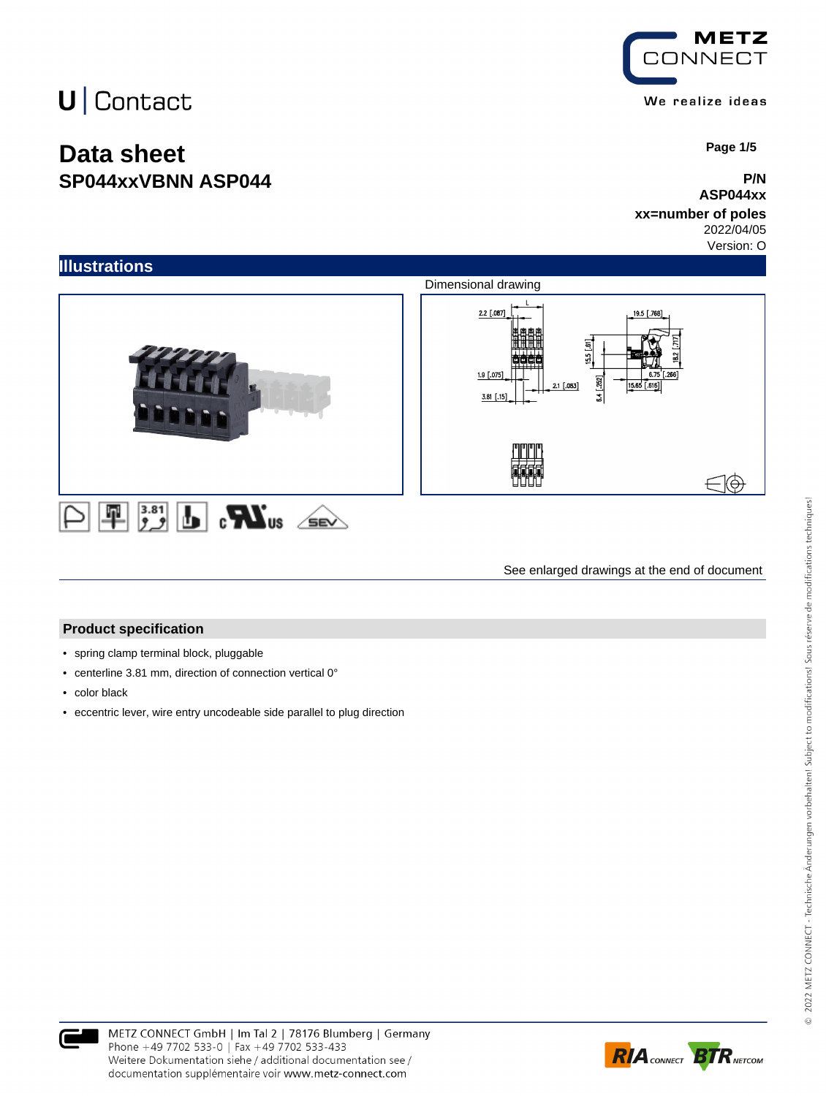## **Data sheet SP044xxVBNN ASP044**

**METZ CONNECT** We realize ideas

 **Page 1/5**

#### **P/N ASP044xx**

### **xx=number of poles**

2022/04/05

Version: O



See enlarged drawings at the end of document

#### **Product specification**

- spring clamp terminal block, pluggable
- centerline 3.81 mm, direction of connection vertical 0°
- color black
- eccentric lever, wire entry uncodeable side parallel to plug direction



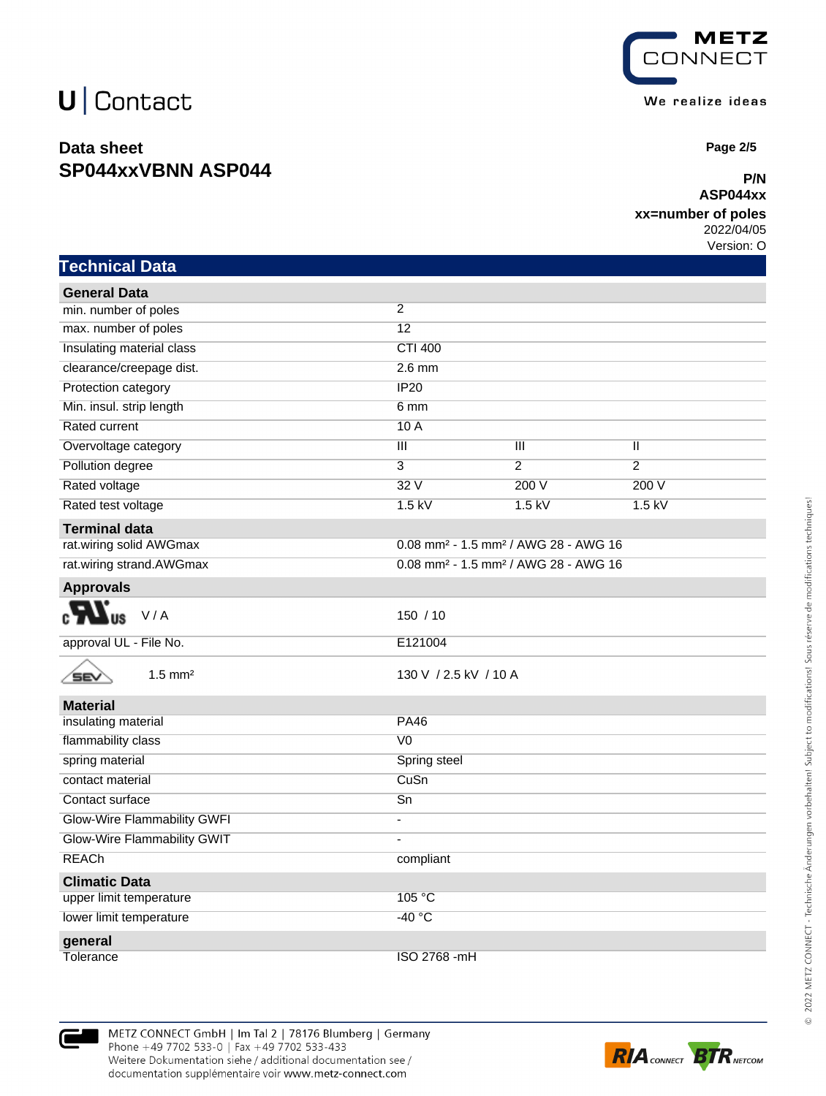### **Data sheet SP044xxVBNN ASP044**



 **Page 2/5**

#### **P/N ASP044xx**

### **xx=number of poles**

2022/04/05

Version: O

| Technical Data                      |                                                              |                |                |  |
|-------------------------------------|--------------------------------------------------------------|----------------|----------------|--|
| <b>General Data</b>                 |                                                              |                |                |  |
| min. number of poles                | 2                                                            |                |                |  |
| max. number of poles                | 12                                                           |                |                |  |
| Insulating material class           | <b>CTI 400</b>                                               |                |                |  |
| clearance/creepage dist.            | $2.6$ mm                                                     |                |                |  |
| Protection category                 | IP20                                                         |                |                |  |
| Min. insul. strip length            | 6 mm                                                         |                |                |  |
| Rated current                       | 10A                                                          |                |                |  |
| Overvoltage category                | $\overline{\mathbf{III}}$                                    | Ш              | Ш              |  |
| Pollution degree                    | 3                                                            | $\overline{2}$ | $\overline{2}$ |  |
| Rated voltage                       | 32V                                                          | 200 V          | 200 V          |  |
| Rated test voltage                  | $1.5$ kV                                                     | $1.5$ kV       | $1.5$ kV       |  |
| <b>Terminal data</b>                |                                                              |                |                |  |
| rat.wiring solid AWGmax             | 0.08 mm <sup>2</sup> - 1.5 mm <sup>2</sup> / AWG 28 - AWG 16 |                |                |  |
| rat.wiring strand.AWGmax            | 0.08 mm <sup>2</sup> - 1.5 mm <sup>2</sup> / AWG 28 - AWG 16 |                |                |  |
| <b>Approvals</b>                    |                                                              |                |                |  |
| EV.<br>V/A                          | 150/10                                                       |                |                |  |
| approval UL - File No.              | E121004                                                      |                |                |  |
| $1.5$ mm <sup>2</sup><br><b>SEV</b> | 130 V / 2.5 kV / 10 A                                        |                |                |  |
| <b>Material</b>                     |                                                              |                |                |  |
| insulating material                 | <b>PA46</b>                                                  |                |                |  |
| flammability class                  | V <sub>0</sub>                                               |                |                |  |
| spring material                     | Spring steel                                                 |                |                |  |
| contact material                    | CuSn                                                         |                |                |  |
| Contact surface                     | $\overline{Sn}$                                              |                |                |  |
| Glow-Wire Flammability GWFI         | ٠                                                            |                |                |  |
| Glow-Wire Flammability GWIT         | ä,                                                           |                |                |  |
| <b>REACh</b>                        | compliant                                                    |                |                |  |
| <b>Climatic Data</b>                |                                                              |                |                |  |
| upper limit temperature             | 105 °C                                                       |                |                |  |
| lower limit temperature             | $-40 °C$                                                     |                |                |  |
| general                             |                                                              |                |                |  |
| Tolerance                           | ISO 2768 -mH                                                 |                |                |  |

METZ CONNECT GmbH | Im Tal 2 | 78176 Blumberg | Germany Phone +49 7702 533-0 | Fax +49 7702 533-433 Weitere Dokumentation siehe / additional documentation see / documentation supplémentaire voir www.metz-connect.com

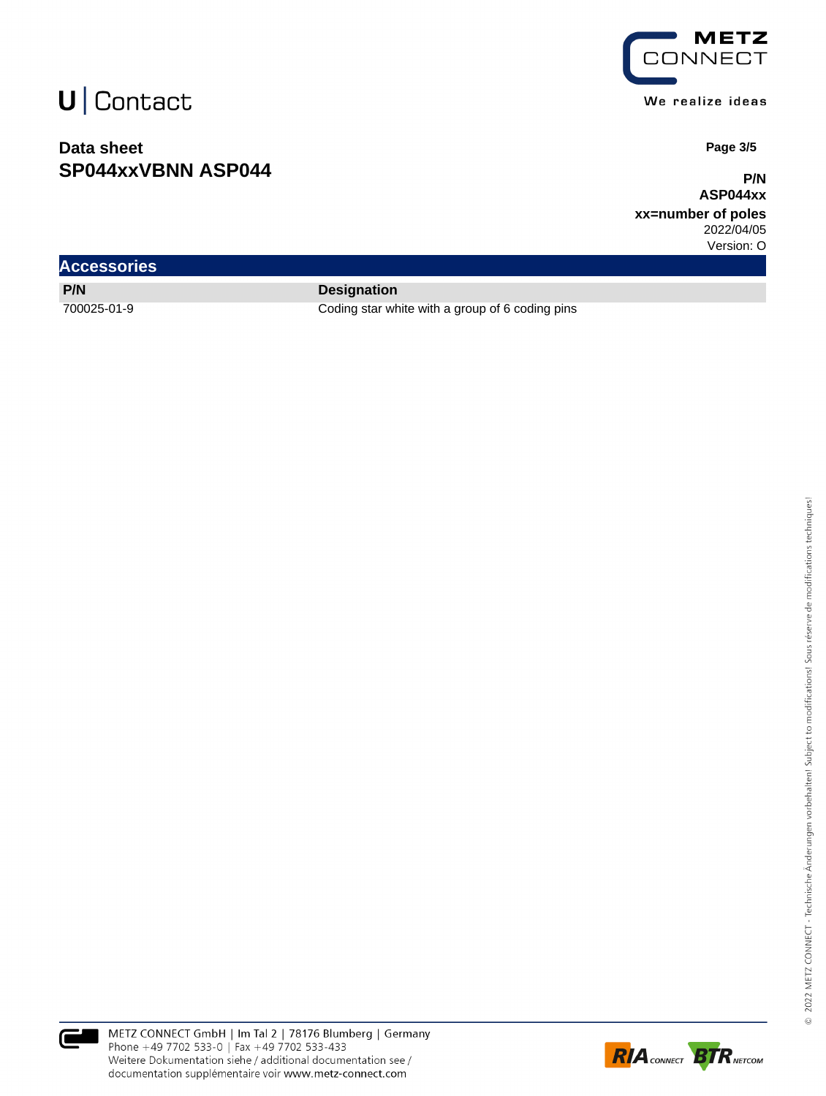### **Data sheet SP044xxVBNN ASP044**



We realize ideas

 **Page 3/5**

**P/N ASP044xx**

**xx=number of poles** 2022/04/05

Version: O

| <b>Accessories</b> |              |
|--------------------|--------------|
| P/N                | <b>Desig</b> |

**gnation** 

700025-01-9 Coding star white with a group of 6 coding pins



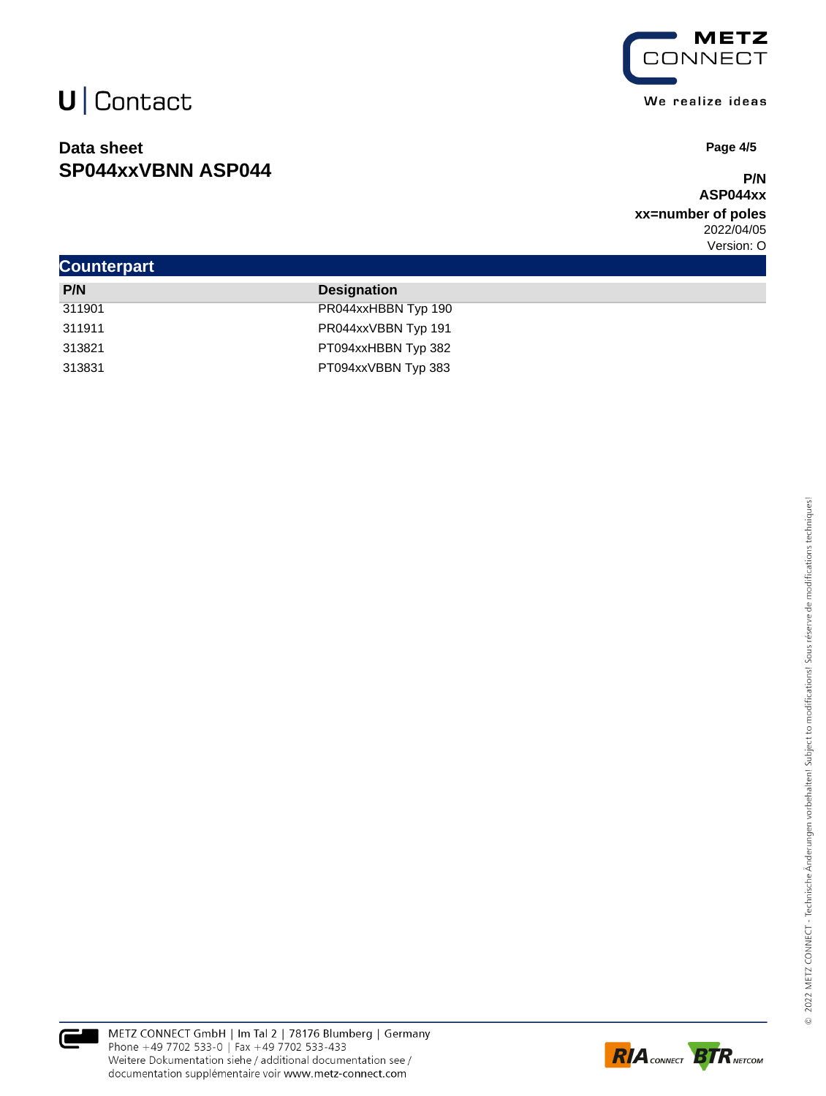### **Data sheet SP044xxVBNN ASP044**



 **Page 4/5**

### **P/N ASP044xx**

**xx=number of poles** 2022/04/05 Version: O

|                    |        |                     | . |
|--------------------|--------|---------------------|---|
| <b>Counterpart</b> |        |                     |   |
|                    | P/N    | <b>Designation</b>  |   |
|                    | 311901 | PR044xxHBBN Typ 190 |   |
|                    | 311911 | PR044xxVBBN Typ 191 |   |
|                    | 313821 | PT094xxHBBN Typ 382 |   |
|                    | 313831 | PT094xxVBBN Typ 383 |   |